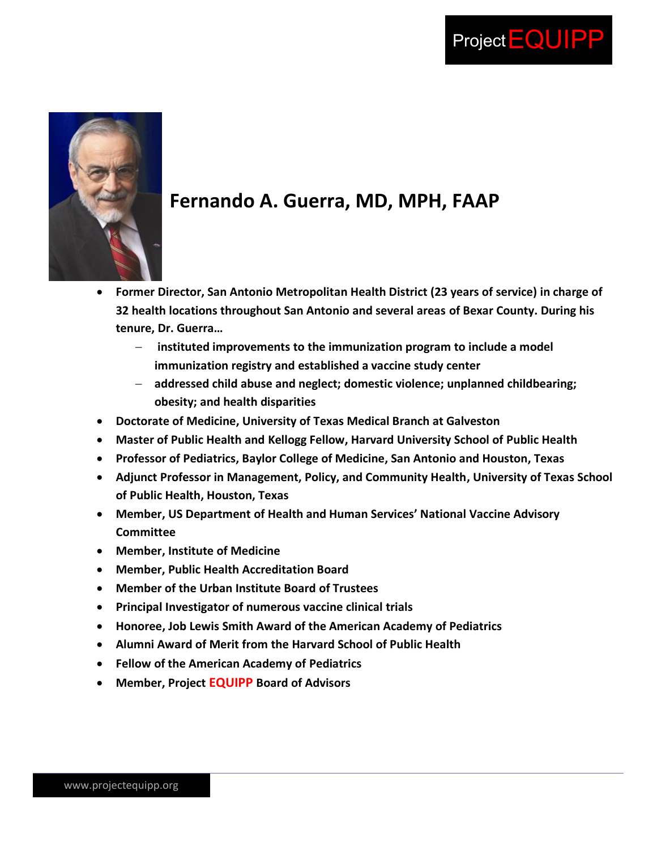



## **Fernando A. Guerra, MD, MPH, FAAP**

- **Former Director, San Antonio Metropolitan Health District (23 years of service) in charge of 32 health locations throughout San Antonio and several areas of Bexar County. During his tenure, Dr. Guerra…**
	- **instituted improvements to the immunization program to include a model immunization registry and established a vaccine study center**
	- **addressed child abuse and neglect; domestic violence; unplanned childbearing; obesity; and health disparities**
- **Doctorate of Medicine, University of Texas Medical Branch at Galveston**
- **Master of Public Health and Kellogg Fellow, Harvard University School of Public Health**
- **Professor of Pediatrics, Baylor College of Medicine, San Antonio and Houston, Texas**
- **Adjunct Professor in Management, Policy, and Community Health, University of Texas School of Public Health, Houston, Texas**
- **Member, US Department of Health and Human Services' National Vaccine Advisory Committee**
- **Member, Institute of Medicine**
- **Member, Public Health Accreditation Board**
- **Member of the Urban Institute Board of Trustees**
- **Principal Investigator of numerous vaccine clinical trials**
- **Honoree, Job Lewis Smith Award of the American Academy of Pediatrics**
- **Alumni Award of Merit from the Harvard School of Public Health**
- **Fellow of the American Academy of Pediatrics**
- **Member, Project EQUIPP Board of Advisors**